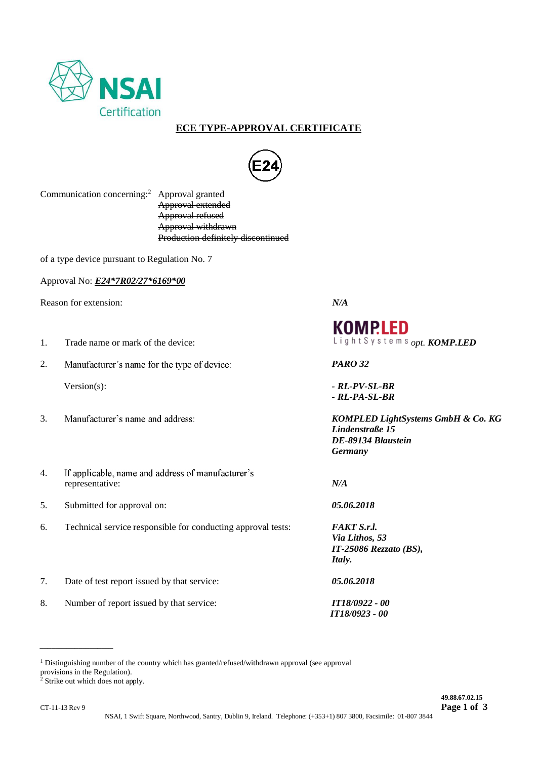

## **ECE TYPE-APPROVAL CERTIFICATE**



Communication concerning:<sup>2</sup> Approval granted Approval extended Approval refused Approval withdrawn Production definitely discontinued

of a type device pursuant to Regulation No. 7

Approval No: *E24\*7R02/27\*6169\*00*

Reason for extension: *N/A*

- 1. Trade name or mark of the device: **but all intervalled** use of the device: *opt. KOMP.LED*
- 2. Manufacturer's name for the type of device: **PARO 32**

- 
- 4. If applicable, name and address of manufacturer's representative: *N/A*
- 5. Submitted for approval on: *05.06.2018*
- 6. Technical service responsible for conducting approval tests: *FAKT S.r.l.*
- 7. Date of test report issued by that service: *05.06.2018*
- 8. Number of report issued by that service: *IT18/0922 - 00*

## **KOMPLED**

Version(s): *- RL-PV-SL-BR - RL-PA-SL-BR*

3. *KOMPLED LightSystems GmbH & Co. KG Lindenstraße 15 DE-89134 Blaustein Germany*

*Via Lithos, 53 IT-25086 Rezzato (BS), Italy.*

 *IT18/0923 - 00*

<sup>1</sup> Distinguishing number of the country which has granted/refused/withdrawn approval (see approval provisions in the Regulation).

<sup>2</sup> Strike out which does not apply.

*\_\_\_\_\_\_\_\_\_\_\_\_\_\_\_\_\_\_\_*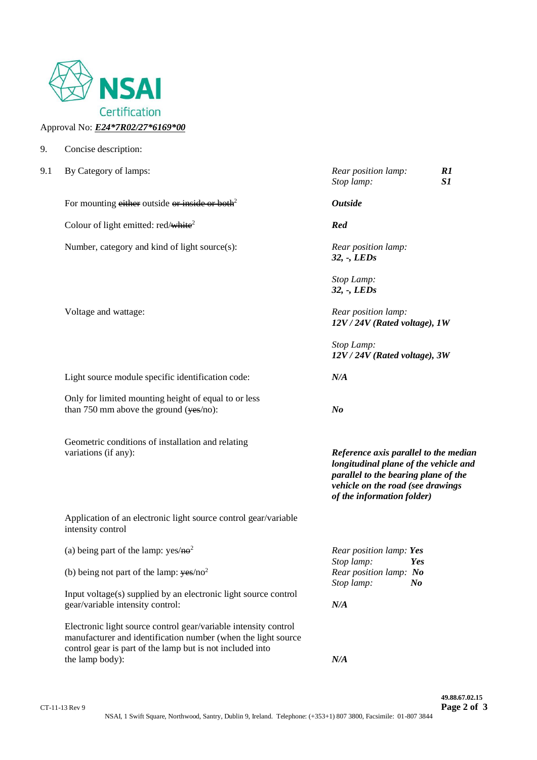

## Approval No: *E24\*7R02/27\*6169\*00*

9. Concise description:

| 9.1 | By Category of lamps:                                                                                                                                                                         | Rear position lamp:<br>R1<br>S1<br>Stop lamp:                                                                                                                                             |
|-----|-----------------------------------------------------------------------------------------------------------------------------------------------------------------------------------------------|-------------------------------------------------------------------------------------------------------------------------------------------------------------------------------------------|
|     | For mounting either outside or inside or both <sup>2</sup>                                                                                                                                    | <b>Outside</b>                                                                                                                                                                            |
|     | Colour of light emitted: red/white <sup>2</sup>                                                                                                                                               | Red                                                                                                                                                                                       |
|     | Number, category and kind of light source(s):                                                                                                                                                 | Rear position lamp:<br>$32, -$ , LEDs                                                                                                                                                     |
|     |                                                                                                                                                                                               | Stop Lamp:<br>$32, -$ , LEDs                                                                                                                                                              |
|     | Voltage and wattage:                                                                                                                                                                          | Rear position lamp:<br>12V / 24V (Rated voltage), 1W                                                                                                                                      |
|     |                                                                                                                                                                                               | Stop Lamp:<br>12V / 24V (Rated voltage), 3W                                                                                                                                               |
|     | Light source module specific identification code:                                                                                                                                             | N/A                                                                                                                                                                                       |
|     | Only for limited mounting height of equal to or less<br>than 750 mm above the ground $(yes/no)$ :                                                                                             | N <sub>o</sub>                                                                                                                                                                            |
|     | Geometric conditions of installation and relating<br>variations (if any):                                                                                                                     | Reference axis parallel to the median<br>longitudinal plane of the vehicle and<br>parallel to the bearing plane of the<br>vehicle on the road (see drawings<br>of the information folder) |
|     | Application of an electronic light source control gear/variable<br>intensity control                                                                                                          |                                                                                                                                                                                           |
|     | (a) being part of the lamp: $yes/2$                                                                                                                                                           | Rear position lamp: Yes                                                                                                                                                                   |
|     | (b) being not part of the lamp: $yes/no2$                                                                                                                                                     | Stop lamp:<br>Yes<br>Rear position lamp: No<br>Stop lamp:<br>$\bm{N}$                                                                                                                     |
|     | Input voltage(s) supplied by an electronic light source control<br>gear/variable intensity control:                                                                                           | N/A                                                                                                                                                                                       |
|     | Electronic light source control gear/variable intensity control<br>manufacturer and identification number (when the light source<br>control gear is part of the lamp but is not included into |                                                                                                                                                                                           |
|     | the lamp body):                                                                                                                                                                               | N/A                                                                                                                                                                                       |